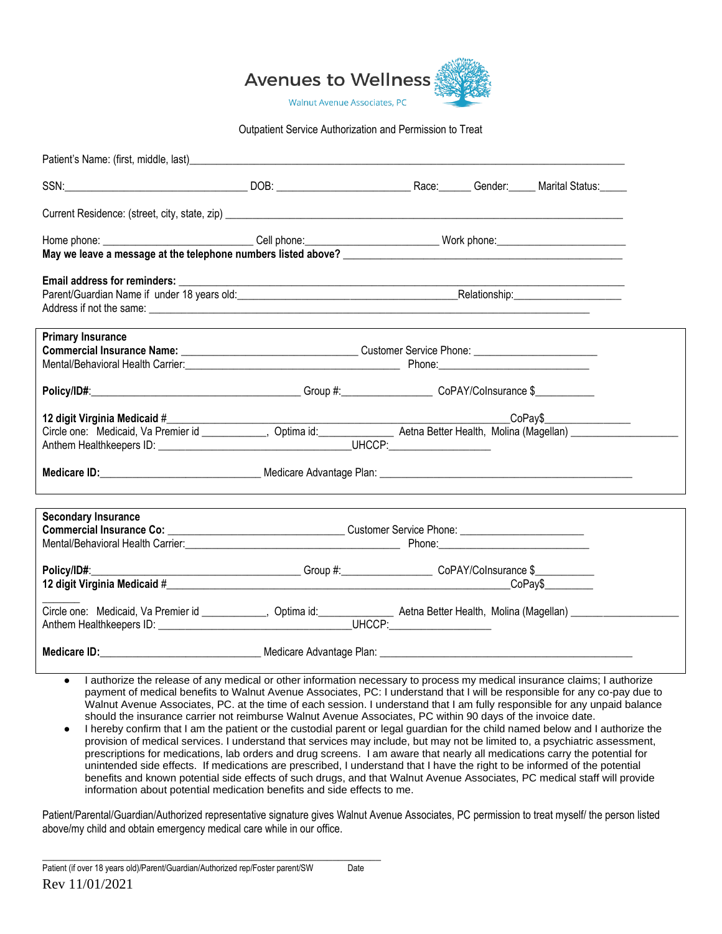

#### Outpatient Service Authorization and Permission to Treat

| Patient's Name: (first, middle, last)                                                                                         |                                                                                        |  |  |  |  |
|-------------------------------------------------------------------------------------------------------------------------------|----------------------------------------------------------------------------------------|--|--|--|--|
| EXAMPLE THE RECENT CONTINUES IN A RECENTLY CONTINUES IN A RECENTLY CONTINUES.<br>SSN:                                         |                                                                                        |  |  |  |  |
|                                                                                                                               |                                                                                        |  |  |  |  |
|                                                                                                                               |                                                                                        |  |  |  |  |
|                                                                                                                               |                                                                                        |  |  |  |  |
|                                                                                                                               |                                                                                        |  |  |  |  |
|                                                                                                                               |                                                                                        |  |  |  |  |
|                                                                                                                               |                                                                                        |  |  |  |  |
| <b>Primary Insurance</b>                                                                                                      |                                                                                        |  |  |  |  |
|                                                                                                                               |                                                                                        |  |  |  |  |
|                                                                                                                               |                                                                                        |  |  |  |  |
|                                                                                                                               |                                                                                        |  |  |  |  |
| 12 digit Virginia Medicaid #                                                                                                  |                                                                                        |  |  |  |  |
| Circle one: Medicaid, Va Premier id ___________, Optima id: _____________ Aetna Better Health, Molina (Magellan) ____________ |                                                                                        |  |  |  |  |
|                                                                                                                               |                                                                                        |  |  |  |  |
|                                                                                                                               |                                                                                        |  |  |  |  |
| <b>Secondary Insurance</b>                                                                                                    |                                                                                        |  |  |  |  |
|                                                                                                                               |                                                                                        |  |  |  |  |
|                                                                                                                               |                                                                                        |  |  |  |  |
| Policy/ID#:                                                                                                                   | __________________________Group #:______________________CoPAY/CoInsurance \$__________ |  |  |  |  |
|                                                                                                                               |                                                                                        |  |  |  |  |
|                                                                                                                               |                                                                                        |  |  |  |  |
| Medicare ID: 1992 Medicare Advantage Plan: 2008 Medicare Advantage Plan: 2008 Medicare ID:                                    |                                                                                        |  |  |  |  |

- I authorize the release of any medical or other information necessary to process my medical insurance claims; I authorize payment of medical benefits to Walnut Avenue Associates, PC: I understand that I will be responsible for any co-pay due to Walnut Avenue Associates, PC. at the time of each session. I understand that I am fully responsible for any unpaid balance should the insurance carrier not reimburse Walnut Avenue Associates, PC within 90 days of the invoice date.
- I hereby confirm that I am the patient or the custodial parent or legal guardian for the child named below and I authorize the provision of medical services. I understand that services may include, but may not be limited to, a psychiatric assessment, prescriptions for medications, lab orders and drug screens. I am aware that nearly all medications carry the potential for unintended side effects. If medications are prescribed, I understand that I have the right to be informed of the potential benefits and known potential side effects of such drugs, and that Walnut Avenue Associates, PC medical staff will provide information about potential medication benefits and side effects to me.

Patient/Parental/Guardian/Authorized representative signature gives Walnut Avenue Associates, PC permission to treat myself/ the person listed above/my child and obtain emergency medical care while in our office.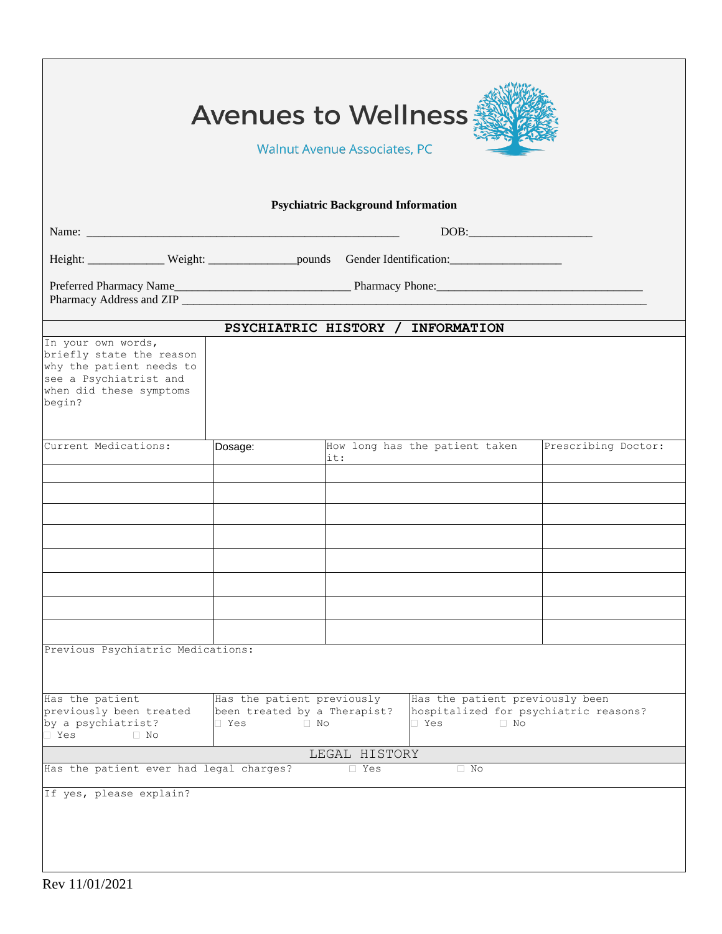| <b>Avenues to Wellness</b><br><b>Walnut Avenue Associates, PC</b>                                                                         |                                                                     |                                           |                                                                                                     |                     |  |  |
|-------------------------------------------------------------------------------------------------------------------------------------------|---------------------------------------------------------------------|-------------------------------------------|-----------------------------------------------------------------------------------------------------|---------------------|--|--|
|                                                                                                                                           |                                                                     | <b>Psychiatric Background Information</b> |                                                                                                     |                     |  |  |
|                                                                                                                                           |                                                                     |                                           |                                                                                                     |                     |  |  |
| Height: Weight: Weight: pounds Gender Identification: ___________________________                                                         |                                                                     |                                           |                                                                                                     |                     |  |  |
| Pharmacy Address and ZIP <b>Example 2018</b>                                                                                              |                                                                     |                                           |                                                                                                     |                     |  |  |
|                                                                                                                                           |                                                                     |                                           | PSYCHIATRIC HISTORY / INFORMATION                                                                   |                     |  |  |
| In your own words,<br>briefly state the reason<br>why the patient needs to<br>see a Psychiatrist and<br>when did these symptoms<br>begin? |                                                                     |                                           |                                                                                                     |                     |  |  |
| Current Medications:                                                                                                                      | Dosage:                                                             | it:                                       | How long has the patient taken                                                                      | Prescribing Doctor: |  |  |
|                                                                                                                                           |                                                                     |                                           |                                                                                                     |                     |  |  |
|                                                                                                                                           |                                                                     |                                           |                                                                                                     |                     |  |  |
|                                                                                                                                           |                                                                     |                                           |                                                                                                     |                     |  |  |
|                                                                                                                                           |                                                                     |                                           |                                                                                                     |                     |  |  |
|                                                                                                                                           |                                                                     |                                           |                                                                                                     |                     |  |  |
|                                                                                                                                           |                                                                     |                                           |                                                                                                     |                     |  |  |
|                                                                                                                                           |                                                                     |                                           |                                                                                                     |                     |  |  |
| Previous Psychiatric Medications:                                                                                                         |                                                                     |                                           |                                                                                                     |                     |  |  |
|                                                                                                                                           |                                                                     |                                           |                                                                                                     |                     |  |  |
| Has the patient<br>previously been treated<br>by a psychiatrist?<br>I Yes<br>$\Box$ No                                                    | Has the patient previously<br>been treated by a Therapist?<br>□ Yes | $\Box$ No                                 | Has the patient previously been<br>hospitalized for psychiatric reasons?<br>$\Box$ Yes<br>$\Box$ No |                     |  |  |
|                                                                                                                                           |                                                                     | LEGAL HISTORY                             |                                                                                                     |                     |  |  |
| Has the patient ever had legal charges?                                                                                                   |                                                                     | $\Box$ Yes                                | $\Box$ No                                                                                           |                     |  |  |
| If yes, please explain?                                                                                                                   |                                                                     |                                           |                                                                                                     |                     |  |  |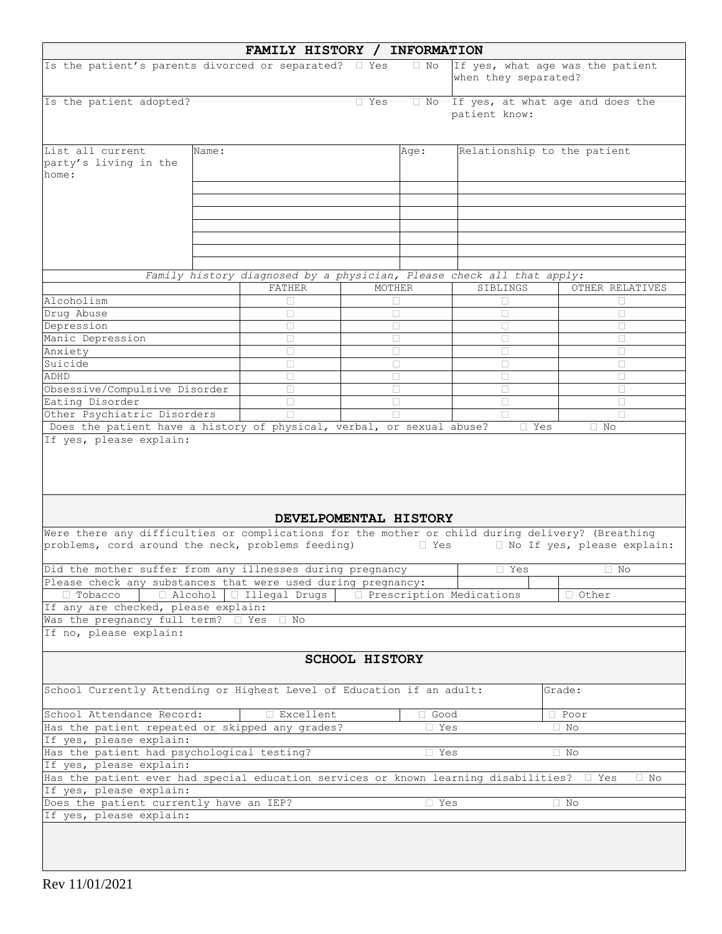|                                                                                                                          |       | FAMILY HISTORY / INFORMATION |                       |             |                                                                       |                                  |
|--------------------------------------------------------------------------------------------------------------------------|-------|------------------------------|-----------------------|-------------|-----------------------------------------------------------------------|----------------------------------|
| Is the patient's parents divorced or separated? I Yes                                                                    |       |                              |                       | $\Box$ No   | when they separated?                                                  | If yes, what age was the patient |
| Is the patient adopted?                                                                                                  |       |                              | $\Box$ Yes            | $\Box$ No   | patient know:                                                         | If yes, at what age and does the |
| List all current<br>party's living in the<br>home:                                                                       | Name: |                              |                       | Age:        | Relationship to the patient                                           |                                  |
|                                                                                                                          |       |                              |                       |             |                                                                       |                                  |
|                                                                                                                          |       |                              |                       |             |                                                                       |                                  |
|                                                                                                                          |       |                              |                       |             |                                                                       |                                  |
|                                                                                                                          |       |                              |                       |             |                                                                       |                                  |
|                                                                                                                          |       |                              |                       |             |                                                                       |                                  |
|                                                                                                                          |       |                              |                       |             |                                                                       |                                  |
|                                                                                                                          |       |                              |                       |             | Family history diagnosed by a physician, Please check all that apply: |                                  |
| Alcoholism                                                                                                               |       | FATHER                       | MOTHER                |             | SIBLINGS                                                              | OTHER RELATIVES                  |
| Drug Abuse                                                                                                               |       | П                            | П                     |             | П                                                                     | П                                |
| Depression                                                                                                               |       | П                            | П                     |             | П                                                                     | П                                |
| Manic Depression                                                                                                         |       | П                            | П                     |             | $\Box$                                                                | П                                |
| Anxiety                                                                                                                  |       | П                            | П                     |             |                                                                       | П                                |
| Suicide                                                                                                                  |       | П                            | П                     |             | П                                                                     | П                                |
| ADHD<br>Obsessive/Compulsive Disorder                                                                                    |       | П<br>П                       | П<br>П                |             | П<br>П                                                                | П<br>П                           |
| Eating Disorder                                                                                                          |       | П                            | П                     |             | П                                                                     | П                                |
| Other Psychiatric Disorders                                                                                              |       |                              |                       |             |                                                                       |                                  |
| Does the patient have a history of physical, verbal, or sexual abuse?                                                    |       |                              |                       |             | $\Box$ Yes                                                            | $\Box$ No                        |
|                                                                                                                          |       |                              |                       |             |                                                                       |                                  |
| Were there any difficulties or complications for the mother or child during delivery? (Breathing                         |       | DEVELPOMENTAL HISTORY        |                       |             |                                                                       |                                  |
| problems, cord around the neck, problems feeding)                                                                        |       |                              |                       | □ Yes       |                                                                       | I No If yes, please explain:     |
| Did the mother suffer from any illnesses during pregnancy                                                                |       |                              |                       |             | □ Yes                                                                 | □ No                             |
| Please check any substances that were used during pregnancy:<br>□ Alcohol   □ Illegal Drugs   □ Prescription Medications |       |                              |                       |             |                                                                       |                                  |
| $\Box$ Tobacco<br>If any are checked, please explain:                                                                    |       |                              |                       |             |                                                                       | □ Other                          |
| Was the pregnancy full term? I Yes                                                                                       |       | $\Box$ No                    |                       |             |                                                                       |                                  |
| If no, please explain:                                                                                                   |       |                              |                       |             |                                                                       |                                  |
|                                                                                                                          |       |                              | <b>SCHOOL HISTORY</b> |             |                                                                       |                                  |
| School Currently Attending or Highest Level of Education if an adult:                                                    |       |                              |                       |             |                                                                       | Grade:                           |
| School Attendance Record:                                                                                                |       | □ Excellent                  |                       | $\Box$ Good |                                                                       | $\Box$ Poor                      |
| Has the patient repeated or skipped any grades?<br>□ Yes<br>$\Box$ No                                                    |       |                              |                       |             |                                                                       |                                  |
| If yes, please explain:                                                                                                  |       |                              |                       |             |                                                                       |                                  |
| Has the patient had psychological testing?<br>If yes, please explain:                                                    |       |                              |                       | $\Box$ Yes  |                                                                       | $\Box$ No                        |
| Has the patient ever had special education services or known learning disabilities? $\square$ Yes                        |       |                              |                       |             |                                                                       | $\Box$ No                        |
| If yes, please explain:                                                                                                  |       |                              |                       |             |                                                                       |                                  |
| Does the patient currently have an IEP?                                                                                  |       |                              |                       | $l$ Yes     |                                                                       | $\Box$ No                        |
| If yes, please explain:                                                                                                  |       |                              |                       |             |                                                                       |                                  |
|                                                                                                                          |       |                              |                       |             |                                                                       |                                  |
|                                                                                                                          |       |                              |                       |             |                                                                       |                                  |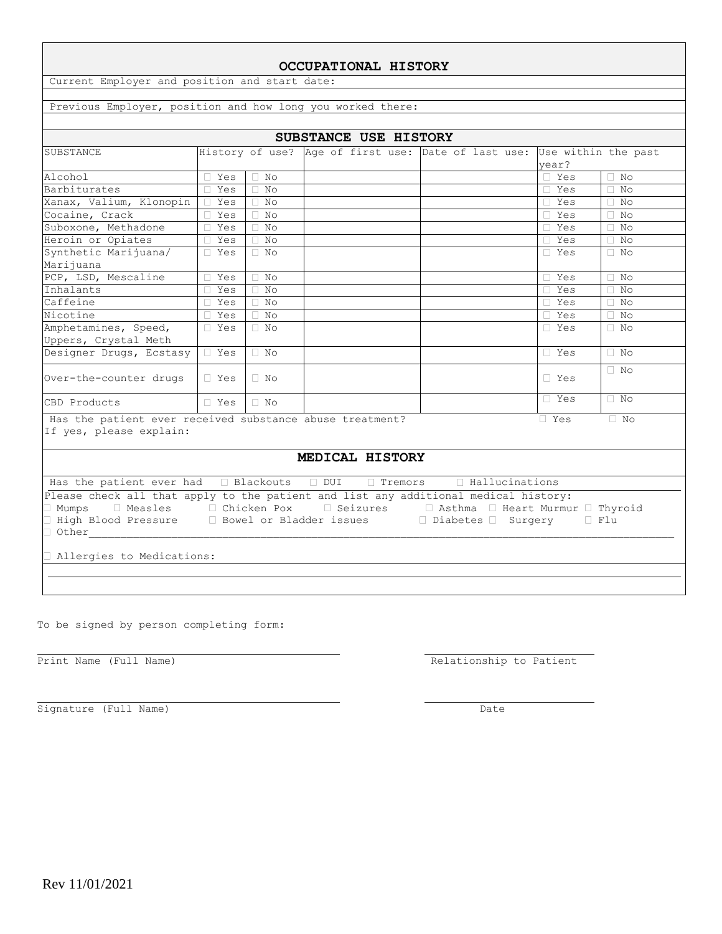| Previous Employer, position and how long you worked there:                                                                 |                      |           |  |  |                                                                         |            |           |
|----------------------------------------------------------------------------------------------------------------------------|----------------------|-----------|--|--|-------------------------------------------------------------------------|------------|-----------|
|                                                                                                                            |                      |           |  |  |                                                                         |            |           |
| SUBSTANCE                                                                                                                  |                      |           |  |  | History of use? Age of first use: Date of last use: Use within the past | vear?      |           |
| Alcohol                                                                                                                    | □ Yes                | $\Box$ No |  |  |                                                                         | $\Box$ Yes | $\Box$ No |
| Barbiturates                                                                                                               | $\Box$ Yes           | $\Box$ No |  |  |                                                                         | $\Box$ Yes | $\Box$ No |
| Xanax, Valium, Klonopin                                                                                                    | ∏ Yes                | $\Box$ No |  |  |                                                                         | $\Box$ Yes | $\Box$ No |
| Cocaine, Crack                                                                                                             | $\Box$ Yes           | $\Box$ No |  |  |                                                                         | $\Box$ Yes | $\Box$ No |
| Suboxone, Methadone                                                                                                        | $\Box$ Yes           | $\Box$ No |  |  |                                                                         | $\Box$ Yes | $\Box$ No |
| Heroin or Opiates                                                                                                          | □ Yes                | $\Box$ No |  |  |                                                                         | $\Box$ Yes | $\Box$ No |
| Synthetic Marijuana/<br>Marijuana                                                                                          | $\square$ Yes        | $\Box$ No |  |  |                                                                         | □ Yes      | $\Box$ No |
| PCP, LSD, Mescaline                                                                                                        | $\Box$ Yes           | $\Box$ No |  |  |                                                                         | $\Box$ Yes | $\Box$ No |
| Inhalants                                                                                                                  | $\Box$ Yes           | $\Box$ No |  |  |                                                                         | $\Box$ Yes | $\Box$ No |
| Caffeine                                                                                                                   | $\Box$ Yes           | $\Box$ No |  |  |                                                                         | $\Box$ Yes | $\Box$ No |
| Nicotine                                                                                                                   | □ Yes                | $\Box$ No |  |  |                                                                         | $\Box$ Yes | $\Box$ No |
| Amphetamines, Speed,<br>Uppers, Crystal Meth                                                                               | $\Box$ Yes           | $\Box$ No |  |  |                                                                         | $\Box$ Yes | $\Box$ No |
| Designer Drugs, Ecstasy                                                                                                    | $T$ Yes              | $\neg$ No |  |  |                                                                         | □ Yes      | $\Box$ No |
| Over-the-counter drugs                                                                                                     | □ Yes                | $\Box$ No |  |  |                                                                         | $\Box$ Yes | $\Box$ No |
| CBD Products                                                                                                               | $\Box$ Yes $\Box$ No |           |  |  |                                                                         | $\Box$ Yes | $\Box$ No |
| Has the patient ever received substance abuse treatment?<br>$\Box$ Yes<br>$\Box$ No<br>If yes, please explain:             |                      |           |  |  |                                                                         |            |           |
| MEDICAL HISTORY                                                                                                            |                      |           |  |  |                                                                         |            |           |
| Has the patient ever had $\Box$ Blackouts $\Box$ DUI $\Box$ Tremors $\Box$ Hallucinations                                  |                      |           |  |  |                                                                         |            |           |
| Please check all that apply to the patient and list any additional medical history:                                        |                      |           |  |  |                                                                         |            |           |
| Numps □ Measles □ Chicken Pox □ Seizures   □ Asthma □ Heart Murmur □ Thyroid                                               |                      |           |  |  |                                                                         |            |           |
| ] High Blood Pressure $\qquad \Box$ Bowel or Bladder issues $\qquad \Box$ Diabetes $\Box$ Surgery<br>$\Box$ Flu<br>□ Other |                      |           |  |  |                                                                         |            |           |
|                                                                                                                            |                      |           |  |  |                                                                         |            |           |
| Allergies to Medications:                                                                                                  |                      |           |  |  |                                                                         |            |           |

To be signed by person completing form:

Print Name (Full Name) Relationship to Patient

Signature (Full Name) Date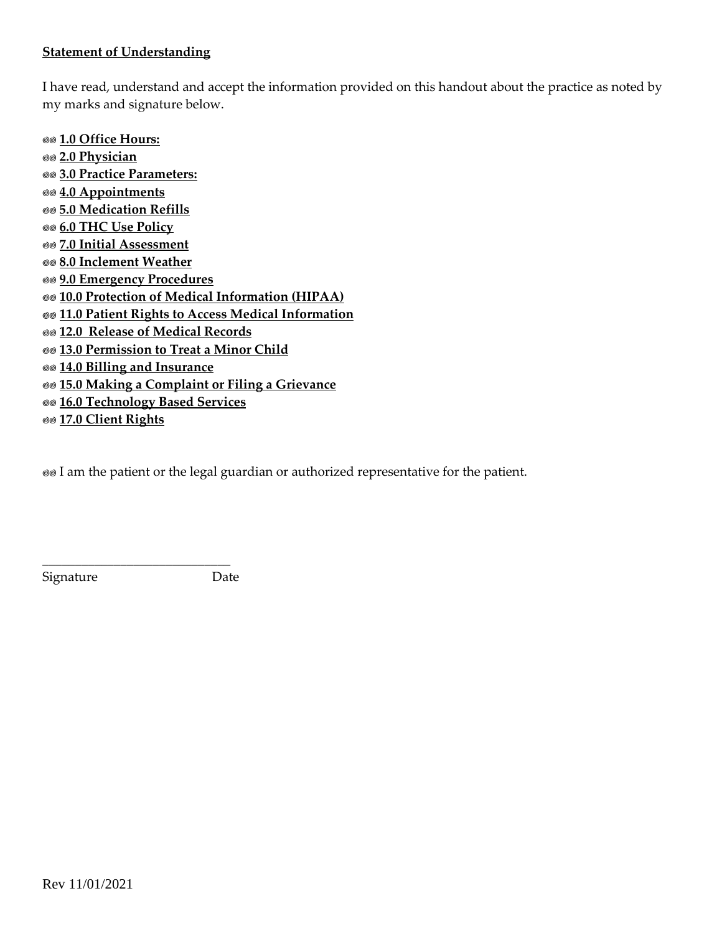# **Statement of Understanding**

I have read, understand and accept the information provided on this handout about the practice as noted by my marks and signature below.

**1.0 Office Hours: 2.0 Physician 3.0 Practice Parameters: 4.0 Appointments 5.0 Medication Refills 6.0 THC Use Policy 7.0 Initial Assessment 8.0 Inclement Weather 9.0 Emergency Procedures 10.0 Protection of Medical Information (HIPAA) 11.0 Patient Rights to Access Medical Information 12.0 Release of Medical Records 13.0 Permission to Treat a Minor Child 14.0 Billing and Insurance 15.0 Making a Complaint or Filing a Grievance 16.0 Technology Based Services 17.0 Client Rights**

I am the patient or the legal guardian or authorized representative for the patient.

Signature Date

\_\_\_\_\_\_\_\_\_\_\_\_\_\_\_\_\_\_\_\_\_\_\_\_\_\_\_\_\_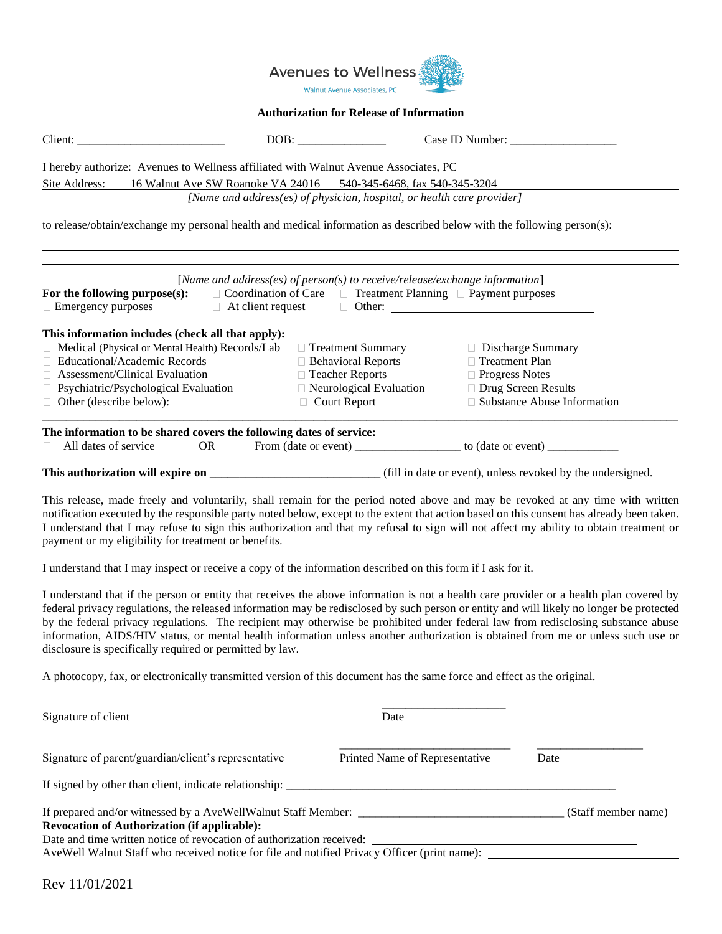

#### **Authorization for Release of Information**

| Client:                                                                                                                                                                                                                                                                                                                                                                                                                                                                                                                                                                                                                   | DOB:                                                                                                                      | Case ID Number: ____________                                                                                                                                                         |                                                                                                                       |
|---------------------------------------------------------------------------------------------------------------------------------------------------------------------------------------------------------------------------------------------------------------------------------------------------------------------------------------------------------------------------------------------------------------------------------------------------------------------------------------------------------------------------------------------------------------------------------------------------------------------------|---------------------------------------------------------------------------------------------------------------------------|--------------------------------------------------------------------------------------------------------------------------------------------------------------------------------------|-----------------------------------------------------------------------------------------------------------------------|
| I hereby authorize: Avenues to Wellness affiliated with Walnut Avenue Associates, PC                                                                                                                                                                                                                                                                                                                                                                                                                                                                                                                                      |                                                                                                                           |                                                                                                                                                                                      |                                                                                                                       |
| Site Address:                                                                                                                                                                                                                                                                                                                                                                                                                                                                                                                                                                                                             |                                                                                                                           | 16 Walnut Ave SW Roanoke VA 24016 540-345-6468, fax 540-345-3204                                                                                                                     |                                                                                                                       |
|                                                                                                                                                                                                                                                                                                                                                                                                                                                                                                                                                                                                                           |                                                                                                                           | [Name and address(es) of physician, hospital, or health care provider]                                                                                                               |                                                                                                                       |
| to release/obtain/exchange my personal health and medical information as described below with the following person(s):                                                                                                                                                                                                                                                                                                                                                                                                                                                                                                    |                                                                                                                           |                                                                                                                                                                                      |                                                                                                                       |
| For the following purpose $(s)$ :<br>$\Box$ Emergency purposes                                                                                                                                                                                                                                                                                                                                                                                                                                                                                                                                                            | $\Box$ At client request                                                                                                  | [Name and address(es) of person(s) to receive/release/exchange information]<br>$\Box$ Coordination of Care $\Box$ Treatment Planning $\Box$ Payment purposes<br>$\Box$ Other: $\Box$ |                                                                                                                       |
| This information includes (check all that apply):<br>Medical (Physical or Mental Health) Records/Lab<br>□ Educational/Academic Records<br>Assessment/Clinical Evaluation<br>$\Box$ Psychiatric/Psychological Evaluation<br>$\Box$ Other (describe below):                                                                                                                                                                                                                                                                                                                                                                 | □ Treatment Summary<br>$\Box$ Behavioral Reports<br>□ Teacher Reports<br>□ Neurological Evaluation<br>$\Box$ Court Report |                                                                                                                                                                                      | □ Discharge Summary<br>□ Treatment Plan<br>□ Progress Notes<br>□ Drug Screen Results<br>□ Substance Abuse Information |
| The information to be shared covers the following dates of service:<br>All dates of service<br>OR.                                                                                                                                                                                                                                                                                                                                                                                                                                                                                                                        |                                                                                                                           | From (date or event) ______________________ to (date or event) _________________                                                                                                     |                                                                                                                       |
| This release, made freely and voluntarily, shall remain for the period noted above and may be revoked at any time with written<br>notification executed by the responsible party noted below, except to the extent that action based on this consent has already been taken.<br>I understand that I may refuse to sign this authorization and that my refusal to sign will not affect my ability to obtain treatment or<br>payment or my eligibility for treatment or benefits.                                                                                                                                           |                                                                                                                           |                                                                                                                                                                                      |                                                                                                                       |
| I understand that I may inspect or receive a copy of the information described on this form if I ask for it.                                                                                                                                                                                                                                                                                                                                                                                                                                                                                                              |                                                                                                                           |                                                                                                                                                                                      |                                                                                                                       |
| I understand that if the person or entity that receives the above information is not a health care provider or a health plan covered by<br>federal privacy regulations, the released information may be redisclosed by such person or entity and will likely no longer be protected<br>by the federal privacy regulations. The recipient may otherwise be prohibited under federal law from redisclosing substance abuse<br>information, AIDS/HIV status, or mental health information unless another authorization is obtained from me or unless such use or<br>disclosure is specifically required or permitted by law. |                                                                                                                           |                                                                                                                                                                                      |                                                                                                                       |
| A photocopy, fax, or electronically transmitted version of this document has the same force and effect as the original.                                                                                                                                                                                                                                                                                                                                                                                                                                                                                                   |                                                                                                                           |                                                                                                                                                                                      |                                                                                                                       |
| Signature of client                                                                                                                                                                                                                                                                                                                                                                                                                                                                                                                                                                                                       |                                                                                                                           | Date                                                                                                                                                                                 |                                                                                                                       |
| Signature of parent/guardian/client's representative                                                                                                                                                                                                                                                                                                                                                                                                                                                                                                                                                                      |                                                                                                                           | Printed Name of Representative                                                                                                                                                       | Date                                                                                                                  |
| If signed by other than client, indicate relationship:                                                                                                                                                                                                                                                                                                                                                                                                                                                                                                                                                                    |                                                                                                                           |                                                                                                                                                                                      |                                                                                                                       |

If prepared and/or witnessed by a AveWellWalnut Staff Member: \_\_\_\_\_\_\_\_\_\_\_\_\_\_\_\_\_\_\_\_\_\_\_\_\_\_\_\_\_\_\_\_\_\_\_ (Staff member name) **Revocation of Authorization (if applicable):**  Date and time written notice of revocation of authorization received:

AveWell Walnut Staff who received notice for file and notified Privacy Officer (print name):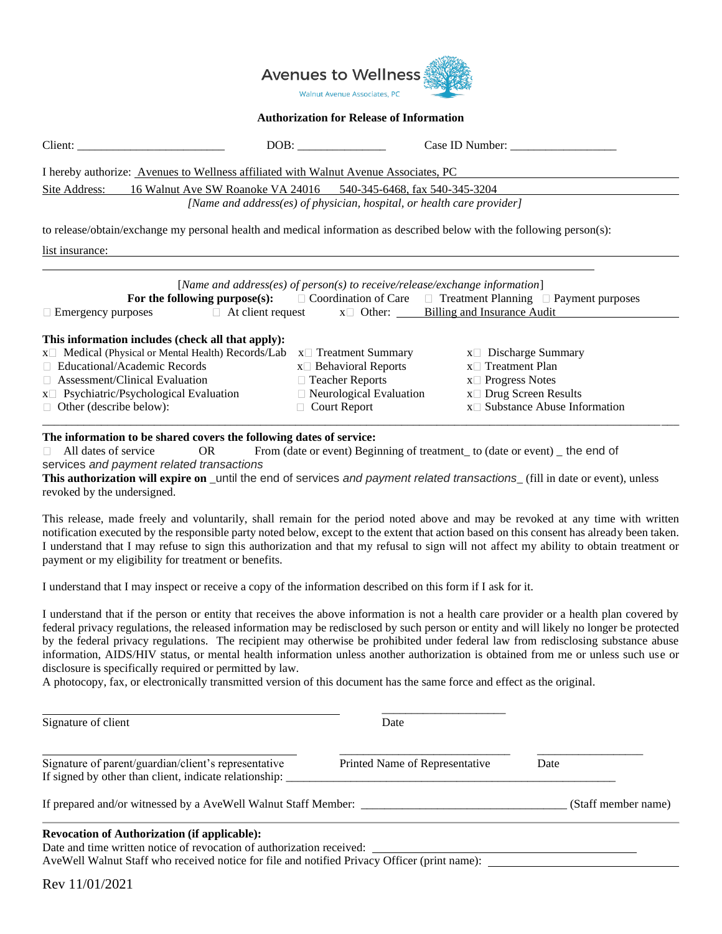

#### **Authorization for Release of Information**

| Client:                                                                                                                                                                                                                                                                                                                                                                       | DOB:                                                                                                                                                  | Case ID Number:                                                                                                                                                                                                                                                                                                                                                                                                                                                                                      |  |  |  |  |
|-------------------------------------------------------------------------------------------------------------------------------------------------------------------------------------------------------------------------------------------------------------------------------------------------------------------------------------------------------------------------------|-------------------------------------------------------------------------------------------------------------------------------------------------------|------------------------------------------------------------------------------------------------------------------------------------------------------------------------------------------------------------------------------------------------------------------------------------------------------------------------------------------------------------------------------------------------------------------------------------------------------------------------------------------------------|--|--|--|--|
| I hereby authorize: Avenues to Wellness affiliated with Walnut Avenue Associates, PC                                                                                                                                                                                                                                                                                          |                                                                                                                                                       |                                                                                                                                                                                                                                                                                                                                                                                                                                                                                                      |  |  |  |  |
| 16 Walnut Ave SW Roanoke VA 24016 540-345-6468, fax 540-345-3204<br>Site Address:                                                                                                                                                                                                                                                                                             |                                                                                                                                                       |                                                                                                                                                                                                                                                                                                                                                                                                                                                                                                      |  |  |  |  |
|                                                                                                                                                                                                                                                                                                                                                                               | [Name and address(es) of physician, hospital, or health care provider]                                                                                |                                                                                                                                                                                                                                                                                                                                                                                                                                                                                                      |  |  |  |  |
| to release/obtain/exchange my personal health and medical information as described below with the following person(s):                                                                                                                                                                                                                                                        |                                                                                                                                                       |                                                                                                                                                                                                                                                                                                                                                                                                                                                                                                      |  |  |  |  |
| list insurance:                                                                                                                                                                                                                                                                                                                                                               |                                                                                                                                                       |                                                                                                                                                                                                                                                                                                                                                                                                                                                                                                      |  |  |  |  |
| $\Box$ Emergency purposes                                                                                                                                                                                                                                                                                                                                                     | [Name and address(es) of $person(s)$ to receive/release/exchange information]<br>$\Box$ At client request $x \Box$ Other: Billing and Insurance Audit | For the following purpose(s): $\Box$ Coordination of Care $\Box$ Treatment Planning $\Box$ Payment purposes                                                                                                                                                                                                                                                                                                                                                                                          |  |  |  |  |
| This information includes (check all that apply):<br>x□ Medical (Physical or Mental Health) Records/Lab<br>□ Educational/Academic Records<br>$\Box$ Assessment/Clinical Evaluation<br>$x \Box$ Psychiatric/Psychological Evaluation<br>$\Box$ Other (describe below):                                                                                                         | $x \Box$ Treatment Summary<br>$x \Box$ Behavioral Reports<br>□ Teacher Reports<br>$\Box$ Neurological Evaluation<br>$\Box$ Court Report               | $x \Box$ Discharge Summary<br>$x \Box$ Treatment Plan<br>$x \Box$ Progress Notes<br>x□ Drug Screen Results<br>$x \Box$ Substance Abuse Information                                                                                                                                                                                                                                                                                                                                                   |  |  |  |  |
| The information to be shared covers the following dates of service:<br>All dates of service<br><b>OR</b><br>services and payment related transactions<br>This authorization will expire on _until the end of services and payment related transactions_(fill in date or event), unless<br>revoked by the undersigned.<br>payment or my eligibility for treatment or benefits. |                                                                                                                                                       | From (date or event) Beginning of treatment to (date or event) the end of<br>This release, made freely and voluntarily, shall remain for the period noted above and may be revoked at any time with written<br>notification executed by the responsible party noted below, except to the extent that action based on this consent has already been taken.<br>I understand that I may refuse to sign this authorization and that my refusal to sign will not affect my ability to obtain treatment or |  |  |  |  |

I understand that I may inspect or receive a copy of the information described on this form if I ask for it.

I understand that if the person or entity that receives the above information is not a health care provider or a health plan covered by federal privacy regulations, the released information may be redisclosed by such person or entity and will likely no longer be protected by the federal privacy regulations. The recipient may otherwise be prohibited under federal law from redisclosing substance abuse information, AIDS/HIV status, or mental health information unless another authorization is obtained from me or unless such use or disclosure is specifically required or permitted by law.

A photocopy, fax, or electronically transmitted version of this document has the same force and effect as the original.

| Signature of client                                                                                                          | Date                           |      |
|------------------------------------------------------------------------------------------------------------------------------|--------------------------------|------|
| Signature of parent/guardian/client's representative<br>If signed by other than client, indicate relationship:               | Printed Name of Representative | Date |
| If prepared and/or witnessed by a AveWell Walnut Staff Member: ___________                                                   | (Staff member name)            |      |
| <b>Revocation of Authorization (if applicable):</b><br>Date and time written notice of revocation of authorization received: |                                |      |
| AveWell Walnut Staff who received notice for file and notified Privacy Officer (print name):                                 |                                |      |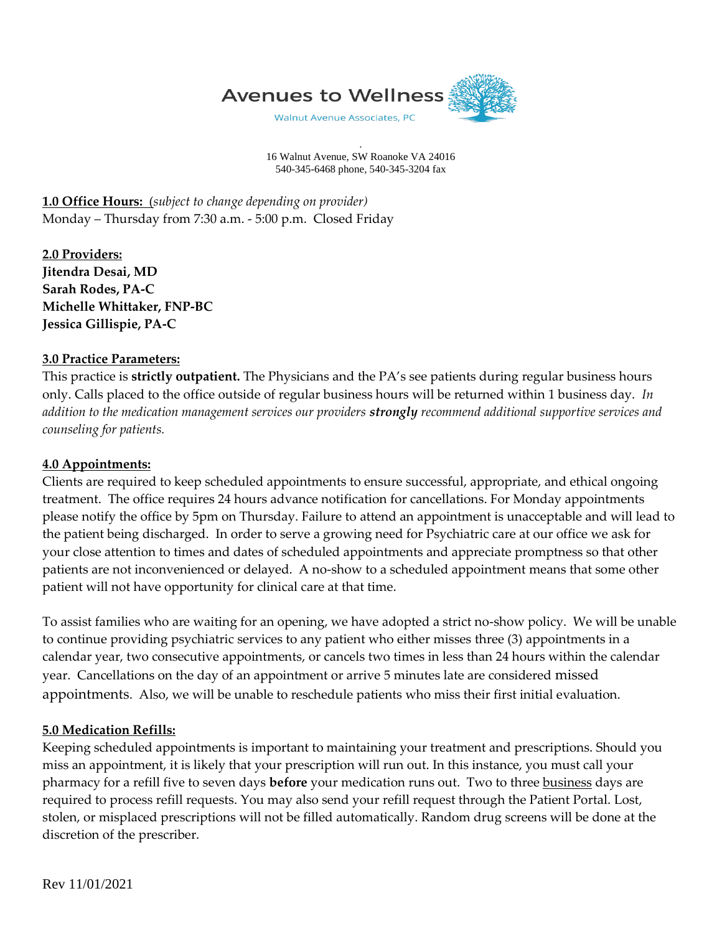

. 16 Walnut Avenue, SW Roanoke VA 24016 540-345-6468 phone, 540-345-3204 fax

**1.0 Office Hours:** (*subject to change depending on provider)* Monday – Thursday from 7:30 a.m. - 5:00 p.m. Closed Friday

**2.0 Providers: Jitendra Desai, MD Sarah Rodes, PA-C Michelle Whittaker, FNP-BC Jessica Gillispie, PA-C**

# **3.0 Practice Parameters:**

This practice is **strictly outpatient.** The Physicians and the PA's see patients during regular business hours only. Calls placed to the office outside of regular business hours will be returned within 1 business day. *In addition to the medication management services our providers strongly recommend additional supportive services and counseling for patients.*

# **4.0 Appointments:**

Clients are required to keep scheduled appointments to ensure successful, appropriate, and ethical ongoing treatment. The office requires 24 hours advance notification for cancellations. For Monday appointments please notify the office by 5pm on Thursday. Failure to attend an appointment is unacceptable and will lead to the patient being discharged. In order to serve a growing need for Psychiatric care at our office we ask for your close attention to times and dates of scheduled appointments and appreciate promptness so that other patients are not inconvenienced or delayed. A no-show to a scheduled appointment means that some other patient will not have opportunity for clinical care at that time.

To assist families who are waiting for an opening, we have adopted a strict no-show policy. We will be unable to continue providing psychiatric services to any patient who either misses three (3) appointments in a calendar year, two consecutive appointments, or cancels two times in less than 24 hours within the calendar year. Cancellations on the day of an appointment or arrive 5 minutes late are considered missed appointments. Also, we will be unable to reschedule patients who miss their first initial evaluation.

# **5.0 Medication Refills:**

Keeping scheduled appointments is important to maintaining your treatment and prescriptions. Should you miss an appointment, it is likely that your prescription will run out. In this instance, you must call your pharmacy for a refill five to seven days **before** your medication runs out. Two to three business days are required to process refill requests. You may also send your refill request through the Patient Portal. Lost, stolen, or misplaced prescriptions will not be filled automatically. Random drug screens will be done at the discretion of the prescriber.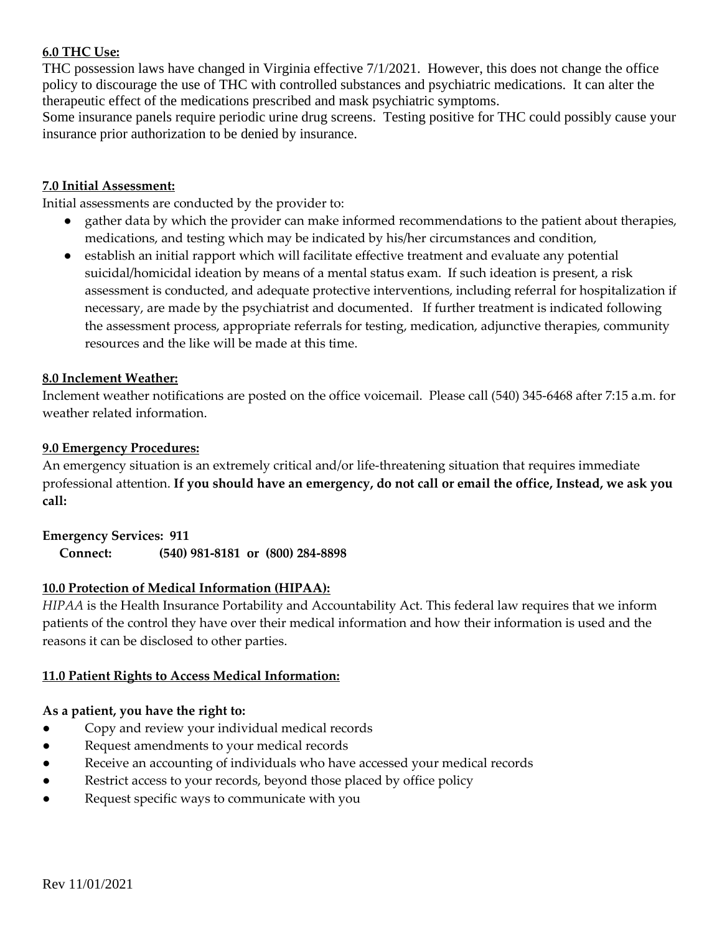### **6.0 THC Use:**

THC possession laws have changed in Virginia effective 7/1/2021. However, this does not change the office policy to discourage the use of THC with controlled substances and psychiatric medications. It can alter the therapeutic effect of the medications prescribed and mask psychiatric symptoms.

Some insurance panels require periodic urine drug screens. Testing positive for THC could possibly cause your insurance prior authorization to be denied by insurance.

### **7.0 Initial Assessment:**

Initial assessments are conducted by the provider to:

- gather data by which the provider can make informed recommendations to the patient about therapies, medications, and testing which may be indicated by his/her circumstances and condition,
- establish an initial rapport which will facilitate effective treatment and evaluate any potential suicidal/homicidal ideation by means of a mental status exam. If such ideation is present, a risk assessment is conducted, and adequate protective interventions, including referral for hospitalization if necessary, are made by the psychiatrist and documented. If further treatment is indicated following the assessment process, appropriate referrals for testing, medication, adjunctive therapies, community resources and the like will be made at this time.

### **8.0 Inclement Weather:**

Inclement weather notifications are posted on the office voicemail. Please call (540) 345-6468 after 7:15 a.m. for weather related information.

### **9.0 Emergency Procedures:**

An emergency situation is an extremely critical and/or life-threatening situation that requires immediate professional attention. **If you should have an emergency, do not call or email the office, Instead, we ask you call:**

### **Emergency Services: 911**

**Connect: (540) 981-8181 or (800) 284-8898**

### **10.0 Protection of Medical Information (HIPAA):**

*HIPAA* is the Health Insurance Portability and Accountability Act. This federal law requires that we inform patients of the control they have over their medical information and how their information is used and the reasons it can be disclosed to other parties.

### **11.0 Patient Rights to Access Medical Information:**

### **As a patient, you have the right to:**

- Copy and review your individual medical records
- Request amendments to your medical records
- Receive an accounting of individuals who have accessed your medical records
- Restrict access to your records, beyond those placed by office policy
- Request specific ways to communicate with you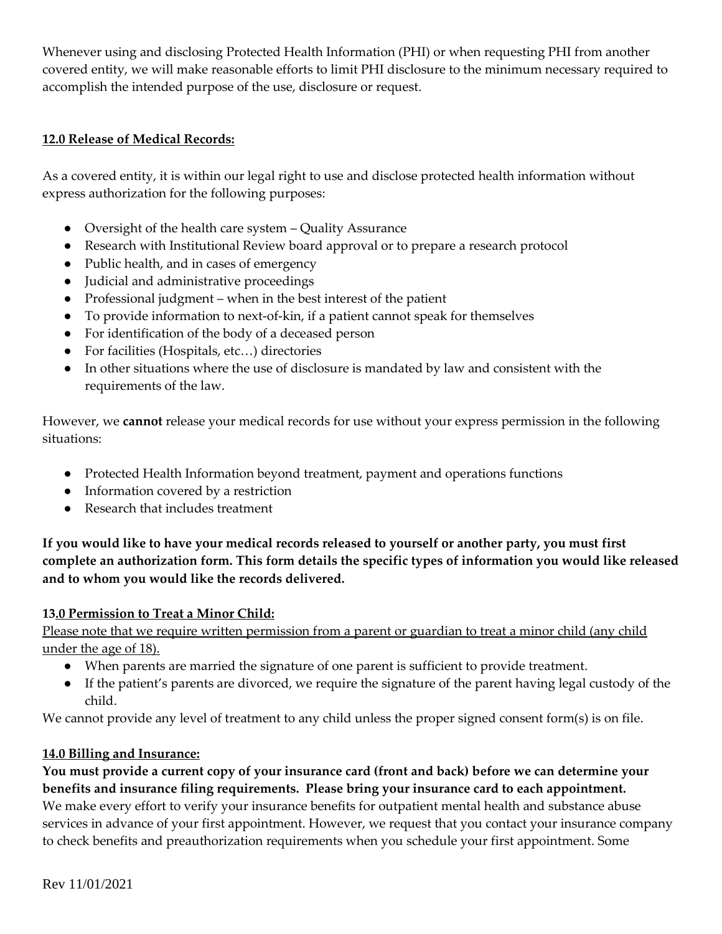Whenever using and disclosing Protected Health Information (PHI) or when requesting PHI from another covered entity, we will make reasonable efforts to limit PHI disclosure to the minimum necessary required to accomplish the intended purpose of the use, disclosure or request.

# **12.0 Release of Medical Records:**

As a covered entity, it is within our legal right to use and disclose protected health information without express authorization for the following purposes:

- Oversight of the health care system Quality Assurance
- Research with Institutional Review board approval or to prepare a research protocol
- Public health, and in cases of emergency
- Judicial and administrative proceedings
- Professional judgment when in the best interest of the patient
- To provide information to next-of-kin, if a patient cannot speak for themselves
- For identification of the body of a deceased person
- For facilities (Hospitals, etc...) directories
- In other situations where the use of disclosure is mandated by law and consistent with the requirements of the law.

However, we **cannot** release your medical records for use without your express permission in the following situations:

- Protected Health Information beyond treatment, payment and operations functions
- Information covered by a restriction
- Research that includes treatment

**If you would like to have your medical records released to yourself or another party, you must first complete an authorization form. This form details the specific types of information you would like released and to whom you would like the records delivered.**

# **13.0 Permission to Treat a Minor Child:**

Please note that we require written permission from a parent or guardian to treat a minor child (any child under the age of 18).

- When parents are married the signature of one parent is sufficient to provide treatment.
- If the patient's parents are divorced, we require the signature of the parent having legal custody of the child.

We cannot provide any level of treatment to any child unless the proper signed consent form(s) is on file.

# **14.0 Billing and Insurance:**

**You must provide a current copy of your insurance card (front and back) before we can determine your benefits and insurance filing requirements. Please bring your insurance card to each appointment.** We make every effort to verify your insurance benefits for outpatient mental health and substance abuse services in advance of your first appointment. However, we request that you contact your insurance company to check benefits and preauthorization requirements when you schedule your first appointment. Some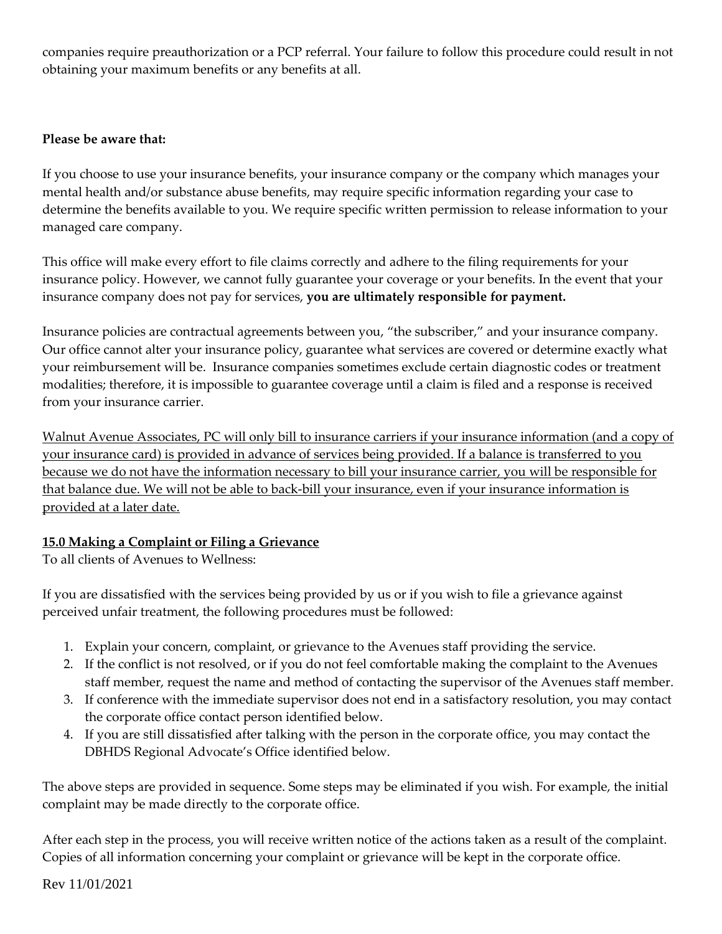companies require preauthorization or a PCP referral. Your failure to follow this procedure could result in not obtaining your maximum benefits or any benefits at all.

# **Please be aware that:**

If you choose to use your insurance benefits, your insurance company or the company which manages your mental health and/or substance abuse benefits, may require specific information regarding your case to determine the benefits available to you. We require specific written permission to release information to your managed care company.

This office will make every effort to file claims correctly and adhere to the filing requirements for your insurance policy. However, we cannot fully guarantee your coverage or your benefits. In the event that your insurance company does not pay for services, **you are ultimately responsible for payment.**

Insurance policies are contractual agreements between you, "the subscriber," and your insurance company. Our office cannot alter your insurance policy, guarantee what services are covered or determine exactly what your reimbursement will be. Insurance companies sometimes exclude certain diagnostic codes or treatment modalities; therefore, it is impossible to guarantee coverage until a claim is filed and a response is received from your insurance carrier.

Walnut Avenue Associates, PC will only bill to insurance carriers if your insurance information (and a copy of your insurance card) is provided in advance of services being provided. If a balance is transferred to you because we do not have the information necessary to bill your insurance carrier, you will be responsible for that balance due. We will not be able to back-bill your insurance, even if your insurance information is provided at a later date.

# **15.0 Making a Complaint or Filing a Grievance**

To all clients of Avenues to Wellness:

If you are dissatisfied with the services being provided by us or if you wish to file a grievance against perceived unfair treatment, the following procedures must be followed:

- 1. Explain your concern, complaint, or grievance to the Avenues staff providing the service.
- 2. If the conflict is not resolved, or if you do not feel comfortable making the complaint to the Avenues staff member, request the name and method of contacting the supervisor of the Avenues staff member.
- 3. If conference with the immediate supervisor does not end in a satisfactory resolution, you may contact the corporate office contact person identified below.
- 4. If you are still dissatisfied after talking with the person in the corporate office, you may contact the DBHDS Regional Advocate's Office identified below.

The above steps are provided in sequence. Some steps may be eliminated if you wish. For example, the initial complaint may be made directly to the corporate office.

After each step in the process, you will receive written notice of the actions taken as a result of the complaint. Copies of all information concerning your complaint or grievance will be kept in the corporate office.

Rev 11/01/2021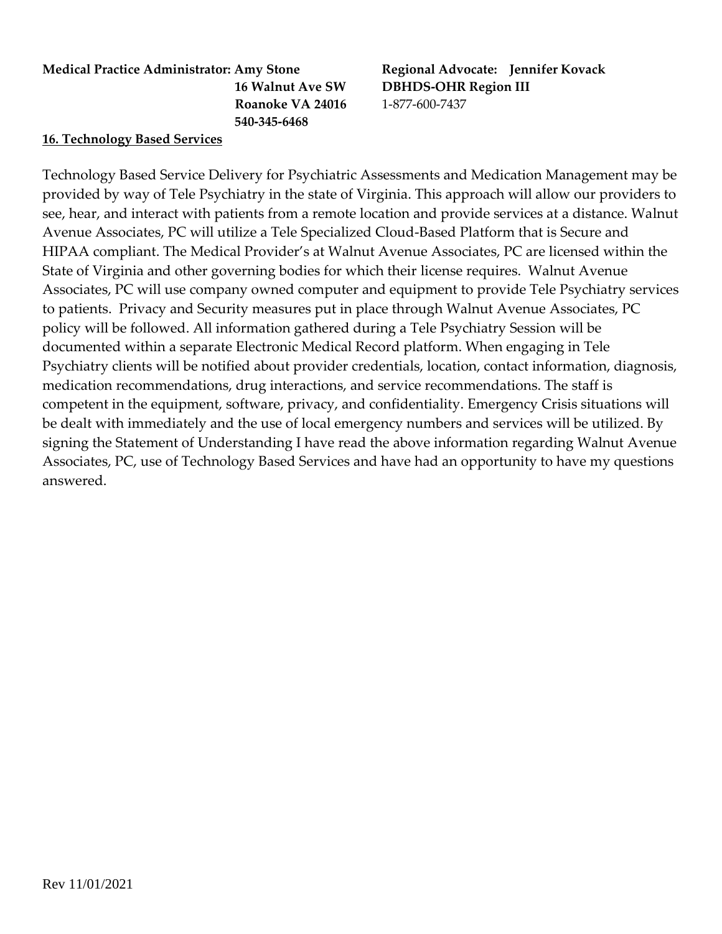# **Medical Practice Administrator: Amy Stone Regional Advocate: Jennifer Kovack Roanoke VA 24016** 1-877-600-7437  **540-345-6468**

# **16. Technology Based Services**

Technology Based Service Delivery for Psychiatric Assessments and Medication Management may be provided by way of Tele Psychiatry in the state of Virginia. This approach will allow our providers to see, hear, and interact with patients from a remote location and provide services at a distance. Walnut Avenue Associates, PC will utilize a Tele Specialized Cloud-Based Platform that is Secure and HIPAA compliant. The Medical Provider's at Walnut Avenue Associates, PC are licensed within the State of Virginia and other governing bodies for which their license requires. Walnut Avenue Associates, PC will use company owned computer and equipment to provide Tele Psychiatry services to patients. Privacy and Security measures put in place through Walnut Avenue Associates, PC policy will be followed. All information gathered during a Tele Psychiatry Session will be documented within a separate Electronic Medical Record platform. When engaging in Tele Psychiatry clients will be notified about provider credentials, location, contact information, diagnosis, medication recommendations, drug interactions, and service recommendations. The staff is competent in the equipment, software, privacy, and confidentiality. Emergency Crisis situations will be dealt with immediately and the use of local emergency numbers and services will be utilized. By signing the Statement of Understanding I have read the above information regarding Walnut Avenue Associates, PC, use of Technology Based Services and have had an opportunity to have my questions answered.